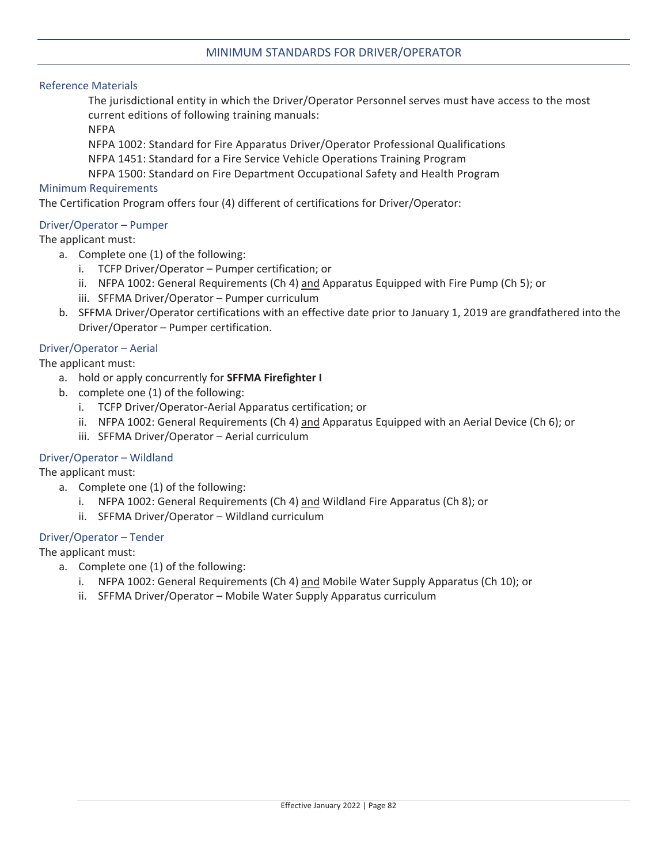## MINIMUM STANDARDS FOR DRIVER/OPERATOR

### Reference Materials

The jurisdictional entity in which the Driver/Operator Personnel serves must have access to the most current editions of following training manuals:

NFPA

NFPA 1002: Standard for Fire Apparatus Driver/Operator Professional Qualifications

NFPA 1451: Standard for a Fire Service Vehicle Operations Training Program

NFPA 1500: Standard on Fire Department Occupational Safety and Health Program

#### Minimum Requirements

The Certification Program offers four (4) different of certifications for Driver/Operator:

### Driver/Operator – Pumper

The applicant must:

- a. Complete one (1) of the following:
	- i. TCFP Driver/Operator Pumper certification; or
	- ii. NFPA 1002: General Requirements (Ch 4) and Apparatus Equipped with Fire Pump (Ch 5); or
	- iii. SFFMA Driver/Operator Pumper curriculum
- b. SFFMA Driver/Operator certifications with an effective date prior to January 1, 2019 are grandfathered into the Driver/Operator – Pumper certification.

### Driver/Operator – Aerial

The applicant must:

- a. hold or apply concurrently for **SFFMA Firefighter I**
- b. complete one (1) of the following:
	- i. TCFP Driver/Operator-Aerial Apparatus certification; or
	- ii. NFPA 1002: General Requirements (Ch 4) and Apparatus Equipped with an Aerial Device (Ch 6); or
	- iii. SFFMA Driver/Operator Aerial curriculum

#### Driver/Operator – Wildland

The applicant must:

- a. Complete one (1) of the following:
	- i. NFPA 1002: General Requirements (Ch 4) and Wildland Fire Apparatus (Ch 8); or
	- ii. SFFMA Driver/Operator Wildland curriculum

#### Driver/Operator – Tender

The applicant must:

- a. Complete one (1) of the following:
	- i. NFPA 1002: General Requirements (Ch 4) and Mobile Water Supply Apparatus (Ch 10); or
	- ii. SFFMA Driver/Operator Mobile Water Supply Apparatus curriculum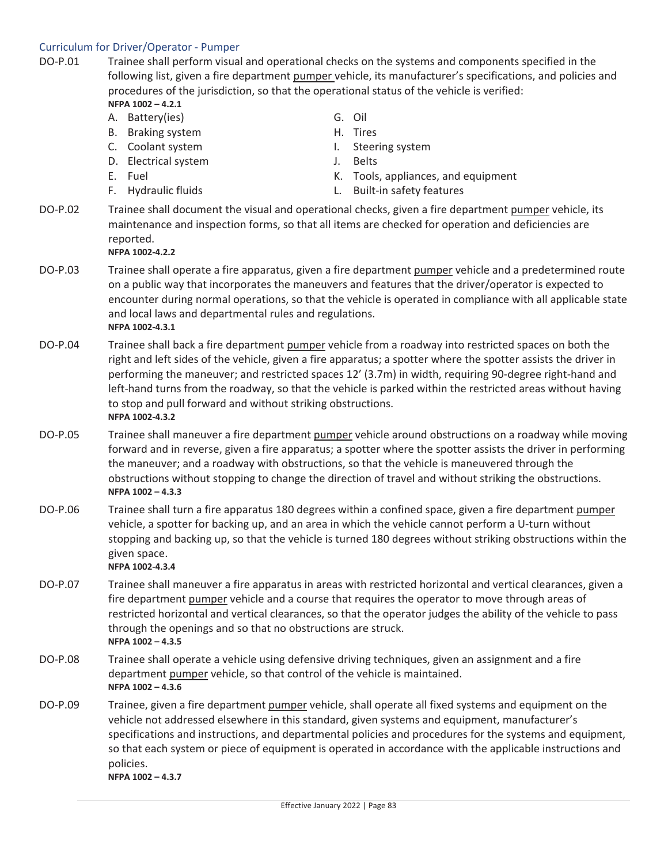# Curriculum for Driver/Operator - Pumper

| DO-P.01 | NFPA 1002-4.2.1<br>A. Battery(ies)<br>B. Braking system<br>C. Coolant system<br>D. Electrical system<br>E. Fuel<br>F. Hydraulic fluids                                                                                                                                                                                                                                                                                                                                                                                            | Trainee shall perform visual and operational checks on the systems and components specified in the<br>following list, given a fire department pumper vehicle, its manufacturer's specifications, and policies and<br>procedures of the jurisdiction, so that the operational status of the vehicle is verified:<br>G. Oil<br>H. Tires<br>Steering system<br>$\mathbf{L}$<br><b>Belts</b><br>J.<br>K. Tools, appliances, and equipment<br><b>Built-in safety features</b><br>L. |
|---------|-----------------------------------------------------------------------------------------------------------------------------------------------------------------------------------------------------------------------------------------------------------------------------------------------------------------------------------------------------------------------------------------------------------------------------------------------------------------------------------------------------------------------------------|--------------------------------------------------------------------------------------------------------------------------------------------------------------------------------------------------------------------------------------------------------------------------------------------------------------------------------------------------------------------------------------------------------------------------------------------------------------------------------|
| DO-P.02 | Trainee shall document the visual and operational checks, given a fire department pumper vehicle, its<br>maintenance and inspection forms, so that all items are checked for operation and deficiencies are<br>reported.<br>NFPA 1002-4.2.2                                                                                                                                                                                                                                                                                       |                                                                                                                                                                                                                                                                                                                                                                                                                                                                                |
| DO-P.03 | Trainee shall operate a fire apparatus, given a fire department pumper vehicle and a predetermined route<br>on a public way that incorporates the maneuvers and features that the driver/operator is expected to<br>encounter during normal operations, so that the vehicle is operated in compliance with all applicable state<br>and local laws and departmental rules and regulations.<br>NFPA 1002-4.3.1                                                                                                                      |                                                                                                                                                                                                                                                                                                                                                                                                                                                                                |
| DO-P.04 | Trainee shall back a fire department pumper vehicle from a roadway into restricted spaces on both the<br>right and left sides of the vehicle, given a fire apparatus; a spotter where the spotter assists the driver in<br>performing the maneuver; and restricted spaces 12' (3.7m) in width, requiring 90-degree right-hand and<br>left-hand turns from the roadway, so that the vehicle is parked within the restricted areas without having<br>to stop and pull forward and without striking obstructions.<br>NFPA 1002-4.3.2 |                                                                                                                                                                                                                                                                                                                                                                                                                                                                                |
| DO-P.05 | Trainee shall maneuver a fire department pumper vehicle around obstructions on a roadway while moving<br>forward and in reverse, given a fire apparatus; a spotter where the spotter assists the driver in performing<br>the maneuver; and a roadway with obstructions, so that the vehicle is maneuvered through the<br>obstructions without stopping to change the direction of travel and without striking the obstructions.<br>NFPA 1002-4.3.3                                                                                |                                                                                                                                                                                                                                                                                                                                                                                                                                                                                |
| DO-P.06 | Trainee shall turn a fire apparatus 180 degrees within a confined space, given a fire department pumper<br>vehicle, a spotter for backing up, and an area in which the vehicle cannot perform a U-turn without<br>stopping and backing up, so that the vehicle is turned 180 degrees without striking obstructions within the<br>given space.<br>NFPA 1002-4.3.4                                                                                                                                                                  |                                                                                                                                                                                                                                                                                                                                                                                                                                                                                |
| DO-P.07 | Trainee shall maneuver a fire apparatus in areas with restricted horizontal and vertical clearances, given a<br>fire department pumper vehicle and a course that requires the operator to move through areas of<br>restricted horizontal and vertical clearances, so that the operator judges the ability of the vehicle to pass<br>through the openings and so that no obstructions are struck.<br>NFPA 1002-4.3.5                                                                                                               |                                                                                                                                                                                                                                                                                                                                                                                                                                                                                |
| DO-P.08 | Trainee shall operate a vehicle using defensive driving techniques, given an assignment and a fire<br>department pumper vehicle, so that control of the vehicle is maintained.<br>NFPA 1002-4.3.6                                                                                                                                                                                                                                                                                                                                 |                                                                                                                                                                                                                                                                                                                                                                                                                                                                                |
| DO-P.09 | Trainee, given a fire department pumper vehicle, shall operate all fixed systems and equipment on the<br>vehicle not addressed elsewhere in this standard, given systems and equipment, manufacturer's<br>specifications and instructions, and departmental policies and procedures for the systems and equipment,<br>so that each system or piece of equipment is operated in accordance with the applicable instructions and<br>policies.<br>NFPA 1002-4.3.7                                                                    |                                                                                                                                                                                                                                                                                                                                                                                                                                                                                |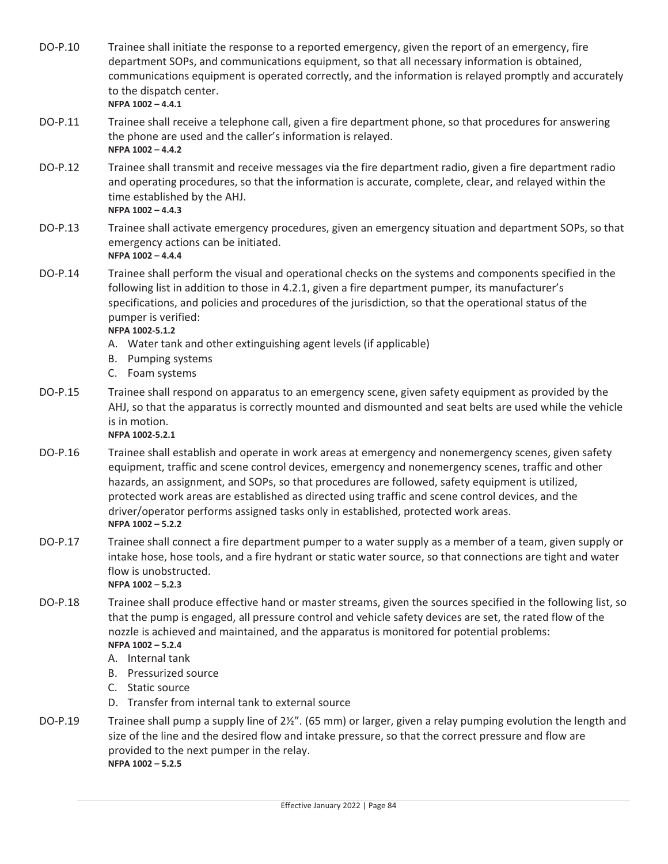DO-P.10 Trainee shall initiate the response to a reported emergency, given the report of an emergency, fire department SOPs, and communications equipment, so that all necessary information is obtained, communications equipment is operated correctly, and the information is relayed promptly and accurately to the dispatch center. **NFPA 1002 – 4.4.1** DO-P.11 Trainee shall receive a telephone call, given a fire department phone, so that procedures for answering the phone are used and the caller's information is relayed. **NFPA 1002 – 4.4.2** DO-P.12 Trainee shall transmit and receive messages via the fire department radio, given a fire department radio and operating procedures, so that the information is accurate, complete, clear, and relayed within the time established by the AHJ. **NFPA 1002 – 4.4.3** DO-P.13 Trainee shall activate emergency procedures, given an emergency situation and department SOPs, so that emergency actions can be initiated. **NFPA 1002 – 4.4.4** DO-P.14 Trainee shall perform the visual and operational checks on the systems and components specified in the following list in addition to those in 4.2.1, given a fire department pumper, its manufacturer's specifications, and policies and procedures of the jurisdiction, so that the operational status of the pumper is verified:  $NFPA 1002 - 5.1.2$ A. Water tank and other extinguishing agent levels (if applicable) B. Pumping systems C. Foam systems DO-P.15 Trainee shall respond on apparatus to an emergency scene, given safety equipment as provided by the AHJ, so that the apparatus is correctly mounted and dismounted and seat belts are used while the vehicle is in motion.  $NFPA 1002 - 5.2.1$ DO-P.16 Trainee shall establish and operate in work areas at emergency and nonemergency scenes, given safety equipment, traffic and scene control devices, emergency and nonemergency scenes, traffic and other hazards, an assignment, and SOPs, so that procedures are followed, safety equipment is utilized, protected work areas are established as directed using traffic and scene control devices, and the driver/operator performs assigned tasks only in established, protected work areas. **NFPA 1002 – 5.2.2** DO-P.17 Trainee shall connect a fire department pumper to a water supply as a member of a team, given supply or intake hose, hose tools, and a fire hydrant or static water source, so that connections are tight and water flow is unobstructed. **NFPA 1002 – 5.2.3** DO-P.18 Trainee shall produce effective hand or master streams, given the sources specified in the following list, so that the pump is engaged, all pressure control and vehicle safety devices are set, the rated flow of the nozzle is achieved and maintained, and the apparatus is monitored for potential problems: **NFPA 1002 – 5.2.4** A. Internal tank B. Pressurized source C. Static source D. Transfer from internal tank to external source DO-P.19 Trainee shall pump a supply line of 2½". (65 mm) or larger, given a relay pumping evolution the length and size of the line and the desired flow and intake pressure, so that the correct pressure and flow are provided to the next pumper in the relay. **NFPA 1002 – 5.2.5**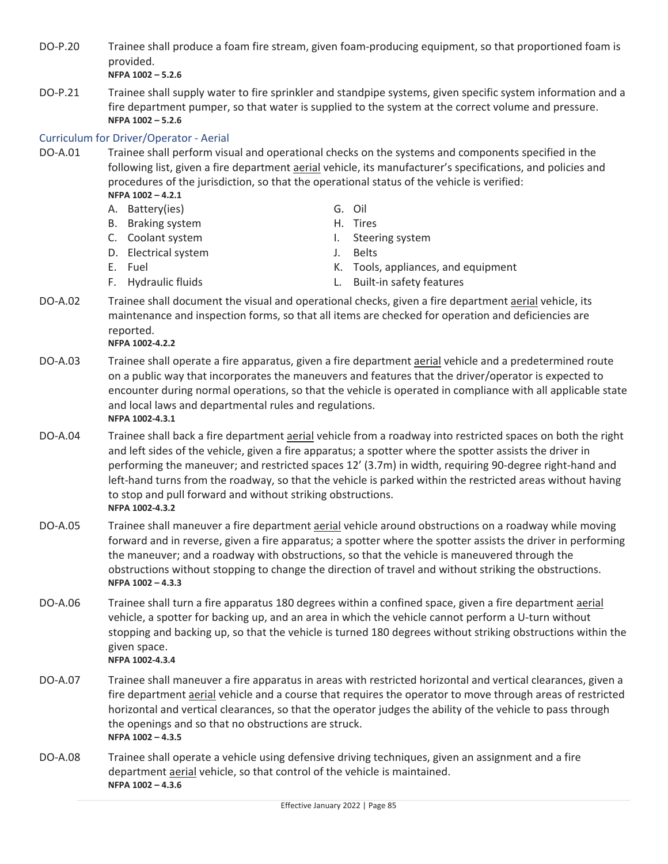- DO-P.20 Trainee shall produce a foam fire stream, given foam-producing equipment, so that proportioned foam is provided. **NFPA 1002 – 5.2.6**
- DO-P.21 Trainee shall supply water to fire sprinkler and standpipe systems, given specific system information and a fire department pumper, so that water is supplied to the system at the correct volume and pressure. **NFPA 1002 – 5.2.6**

## Curriculum for Driver/Operator - Aerial

- DO-A.01 Trainee shall perform visual and operational checks on the systems and components specified in the following list, given a fire department aerial vehicle, its manufacturer's specifications, and policies and procedures of the jurisdiction, so that the operational status of the vehicle is verified: **NFPA 1002 – 4.2.1**
	- A. Battery(ies) G. Oil
	- B. Braking system H. Tires
	-
	- D. Electrical system J. Belts
	-
- 
- C. Coolant system and the state of the I. Steering system
	-
- E. Fuel E. Fuel Contract Contract Media K. Tools, appliances, and equipment
- 
- F. Hydraulic fluids L. Built-in safety features
- DO-A.02 Trainee shall document the visual and operational checks, given a fire department aerial vehicle, its maintenance and inspection forms, so that all items are checked for operation and deficiencies are reported.  $NFPA 1002 - 4.2.2$
- DO-A.03 Trainee shall operate a fire apparatus, given a fire department aerial vehicle and a predetermined route on a public way that incorporates the maneuvers and features that the driver/operator is expected to encounter during normal operations, so that the vehicle is operated in compliance with all applicable state and local laws and departmental rules and regulations.  $NFPA 1002 - 4.3.1$
- DO-A.04 Trainee shall back a fire department aerial vehicle from a roadway into restricted spaces on both the right and left sides of the vehicle, given a fire apparatus; a spotter where the spotter assists the driver in performing the maneuver; and restricted spaces 12' (3.7m) in width, requiring 90-degree right-hand and left-hand turns from the roadway, so that the vehicle is parked within the restricted areas without having to stop and pull forward and without striking obstructions.  $NFPA 1002 - 4.3.2$
- DO-A.05 Trainee shall maneuver a fire department aerial vehicle around obstructions on a roadway while moving forward and in reverse, given a fire apparatus; a spotter where the spotter assists the driver in performing the maneuver; and a roadway with obstructions, so that the vehicle is maneuvered through the obstructions without stopping to change the direction of travel and without striking the obstructions. **NFPA 1002 – 4.3.3**
- DO-A.06 Trainee shall turn a fire apparatus 180 degrees within a confined space, given a fire department aerial vehicle, a spotter for backing up, and an area in which the vehicle cannot perform a U-turn without stopping and backing up, so that the vehicle is turned 180 degrees without striking obstructions within the given space.  $NFPA 1002 - 4.3.4$
- DO-A.07 Trainee shall maneuver a fire apparatus in areas with restricted horizontal and vertical clearances, given a fire department **aerial** vehicle and a course that requires the operator to move through areas of restricted horizontal and vertical clearances, so that the operator judges the ability of the vehicle to pass through the openings and so that no obstructions are struck. **NFPA 1002 – 4.3.5**
- DO-A.08 Trainee shall operate a vehicle using defensive driving techniques, given an assignment and a fire department aerial vehicle, so that control of the vehicle is maintained. **NFPA 1002 – 4.3.6**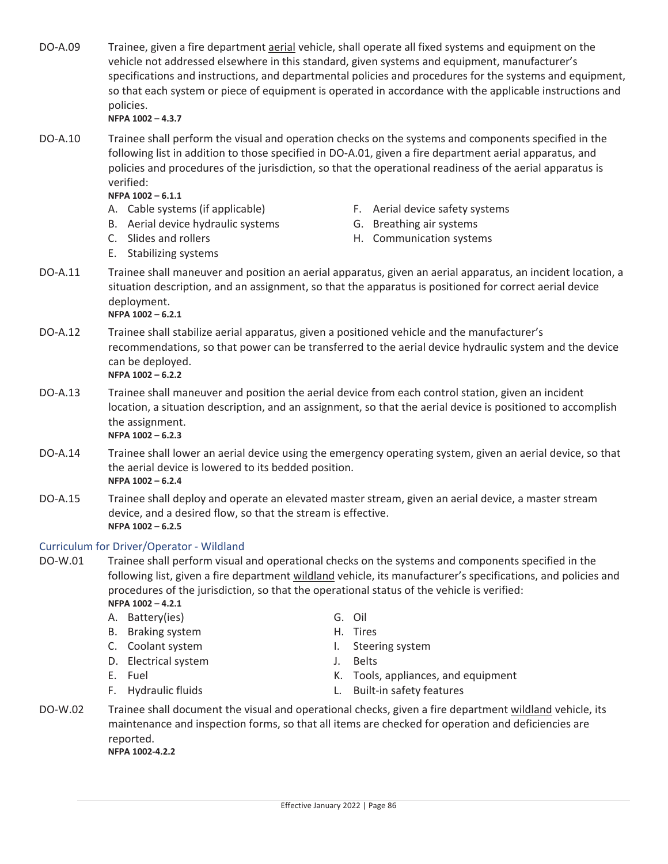- DO-A.09 Trainee, given a fire department aerial vehicle, shall operate all fixed systems and equipment on the vehicle not addressed elsewhere in this standard, given systems and equipment, manufacturer's specifications and instructions, and departmental policies and procedures for the systems and equipment, so that each system or piece of equipment is operated in accordance with the applicable instructions and policies. **NFPA 1002 – 4.3.7**
- DO-A.10 Trainee shall perform the visual and operation checks on the systems and components specified in the following list in addition to those specified in DO-A.01, given a fire department aerial apparatus, and policies and procedures of the jurisdiction, so that the operational readiness of the aerial apparatus is verified:

**NFPA 1002 – 6.1.1**

- 
- B. Aerial device hydraulic systems G. Breathing air systems
- 
- E. Stabilizing systems
- A. Cable systems (if applicable) F. Aerial device safety systems
	-
- C. Slides and rollers external to the H. Communication systems
- DO-A.11 Trainee shall maneuver and position an aerial apparatus, given an aerial apparatus, an incident location, a situation description, and an assignment, so that the apparatus is positioned for correct aerial device deployment.

**NFPA 1002 – 6.2.1**

- DO-A.12 Trainee shall stabilize aerial apparatus, given a positioned vehicle and the manufacturer's recommendations, so that power can be transferred to the aerial device hydraulic system and the device can be deployed. **NFPA 1002 – 6.2.2**
- DO-A.13 Trainee shall maneuver and position the aerial device from each control station, given an incident location, a situation description, and an assignment, so that the aerial device is positioned to accomplish the assignment. **NFPA 1002 – 6.2.3**
- DO-A.14 Trainee shall lower an aerial device using the emergency operating system, given an aerial device, so that the aerial device is lowered to its bedded position. **NFPA 1002 – 6.2.4**
- DO-A.15 Trainee shall deploy and operate an elevated master stream, given an aerial device, a master stream device, and a desired flow, so that the stream is effective. **NFPA 1002 – 6.2.5**

## Curriculum for Driver/Operator - Wildland

DO-W.01 Trainee shall perform visual and operational checks on the systems and components specified in the following list, given a fire department wildland vehicle, its manufacturer's specifications, and policies and procedures of the jurisdiction, so that the operational status of the vehicle is verified: **NFPA 1002 – 4.2.1**

- A. Battery(ies) G. Oil
- B. Braking system H. Tires
- C. Coolant system and the U. Steering system
- D. Electrical system J. Belts
- 
- 
- 
- 
- 
- E. Fuel E. Tools, appliances, and equipment
- F. Hydraulic fluids L. Built-in safety features
- DO-W.02 Trainee shall document the visual and operational checks, given a fire department wildland vehicle, its maintenance and inspection forms, so that all items are checked for operation and deficiencies are reported.  $NFPA 1002 - 4.2.2$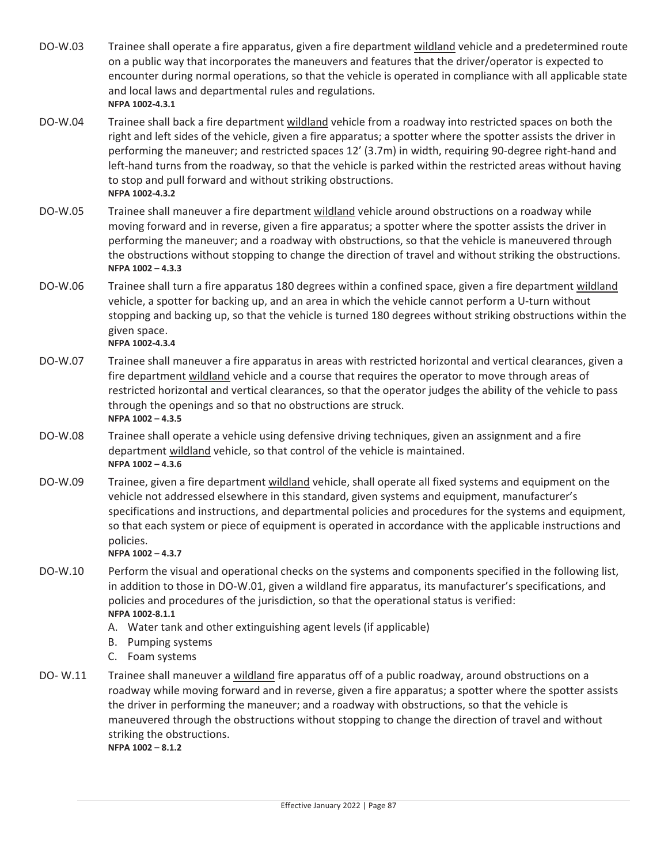- DO-W.03 Trainee shall operate a fire apparatus, given a fire department wildland vehicle and a predetermined route on a public way that incorporates the maneuvers and features that the driver/operator is expected to encounter during normal operations, so that the vehicle is operated in compliance with all applicable state and local laws and departmental rules and regulations.  $NFPA 1002 - 4.3.1$
- DO-W.04 Trainee shall back a fire department wildland vehicle from a roadway into restricted spaces on both the right and left sides of the vehicle, given a fire apparatus; a spotter where the spotter assists the driver in performing the maneuver; and restricted spaces 12' (3.7m) in width, requiring 90-degree right-hand and left-hand turns from the roadway, so that the vehicle is parked within the restricted areas without having to stop and pull forward and without striking obstructions.  $NFPA 1002 - 4.3.2$
- DO-W.05 Trainee shall maneuver a fire department wildland vehicle around obstructions on a roadway while moving forward and in reverse, given a fire apparatus; a spotter where the spotter assists the driver in performing the maneuver; and a roadway with obstructions, so that the vehicle is maneuvered through the obstructions without stopping to change the direction of travel and without striking the obstructions. **NFPA 1002 – 4.3.3**
- DO-W.06 Trainee shall turn a fire apparatus 180 degrees within a confined space, given a fire department wildland vehicle, a spotter for backing up, and an area in which the vehicle cannot perform a U-turn without stopping and backing up, so that the vehicle is turned 180 degrees without striking obstructions within the given space.  $NFPA 1002 - 4.3.4$
- DO-W.07 Trainee shall maneuver a fire apparatus in areas with restricted horizontal and vertical clearances, given a fire department wildland vehicle and a course that requires the operator to move through areas of restricted horizontal and vertical clearances, so that the operator judges the ability of the vehicle to pass through the openings and so that no obstructions are struck. **NFPA 1002 – 4.3.5**
- DO-W.08 Trainee shall operate a vehicle using defensive driving techniques, given an assignment and a fire department wildland vehicle, so that control of the vehicle is maintained. **NFPA 1002 – 4.3.6**
- DO-W.09 Trainee, given a fire department wildland vehicle, shall operate all fixed systems and equipment on the vehicle not addressed elsewhere in this standard, given systems and equipment, manufacturer's specifications and instructions, and departmental policies and procedures for the systems and equipment, so that each system or piece of equipment is operated in accordance with the applicable instructions and policies.
	- **NFPA 1002 – 4.3.7**
- DO-W.10 Perform the visual and operational checks on the systems and components specified in the following list, in addition to those in DO-W.01, given a wildland fire apparatus, its manufacturer's specifications, and policies and procedures of the jurisdiction, so that the operational status is verified:  $NFPA 1002 - 8.1.1$ 
	- A. Water tank and other extinguishing agent levels (if applicable)
	- B. Pumping systems
	- C. Foam systems
- DO-W.11 Trainee shall maneuver a wildland fire apparatus off of a public roadway, around obstructions on a roadway while moving forward and in reverse, given a fire apparatus; a spotter where the spotter assists the driver in performing the maneuver; and a roadway with obstructions, so that the vehicle is maneuvered through the obstructions without stopping to change the direction of travel and without striking the obstructions. **NFPA 1002 – 8.1.2**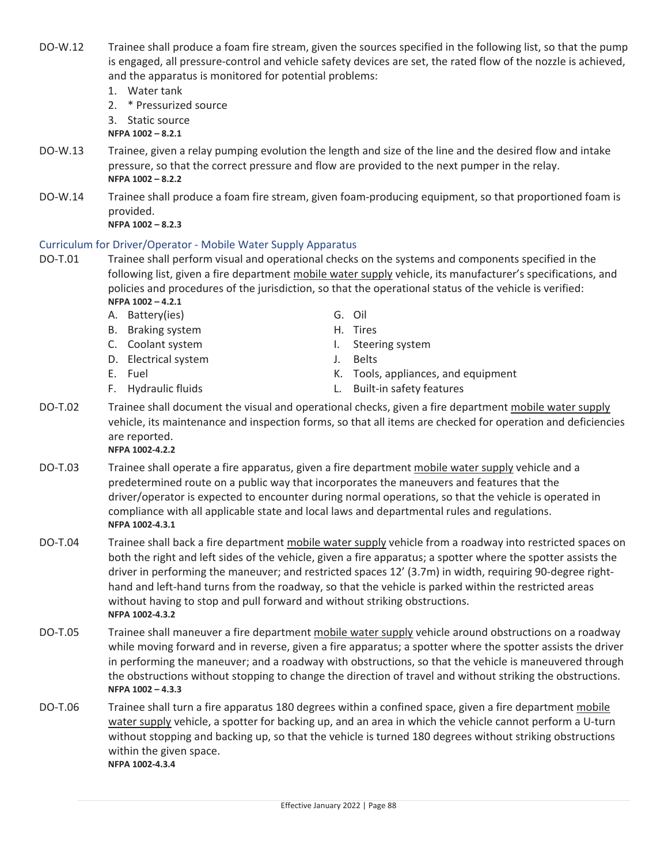Effective January 2022 | Page 88

DO-W.12 Trainee shall produce a foam fire stream, given the sources specified in the following list, so that the pump is engaged, all pressure-control and vehicle safety devices are set, the rated flow of the nozzle is achieved, and the apparatus is monitored for potential problems:

- 1. Water tank
- 2. \* Pressurized source

3. Static source

**NFPA 1002 – 8.2.1**

- DO-W.13 Trainee, given a relay pumping evolution the length and size of the line and the desired flow and intake pressure, so that the correct pressure and flow are provided to the next pumper in the relay. **NFPA 1002 – 8.2.2**
- DO-W.14 Trainee shall produce a foam fire stream, given foam-producing equipment, so that proportioned foam is provided. **NFPA 1002 – 8.2.3**

Curriculum for Driver/Operator - Mobile Water Supply Apparatus DO-T.01 Trainee shall perform visual and operational checks on the systems and components specified in the following list, given a fire department mobile water supply vehicle, its manufacturer's specifications, and policies and procedures of the jurisdiction, so that the operational status of the vehicle is verified: **NFPA 1002 – 4.2.1**

- A. Battery(ies) G. Oil B. Braking system H. Tires
- 
- D. Electrical system J. Belts
- 
- 
- 
- 
- C. Coolant system and the state of the I. Steering system
	-
- E. Fuel **E.** Fuel **E.** Fuel **K.** Tools, appliances, and equipment
- F. Hydraulic fluids L. Built-in safety features
- DO-T.02 Trainee shall document the visual and operational checks, given a fire department mobile water supply vehicle, its maintenance and inspection forms, so that all items are checked for operation and deficiencies are reported.  $NFPA 1002 - 4.2.2$
- DO-T.03 Trainee shall operate a fire apparatus, given a fire department mobile water supply vehicle and a predetermined route on a public way that incorporates the maneuvers and features that the driver/operator is expected to encounter during normal operations, so that the vehicle is operated in compliance with all applicable state and local laws and departmental rules and regulations.  $NFPA 1002 - 4.3.1$ 
	- DO-T.04 Trainee shall back a fire department mobile water supply vehicle from a roadway into restricted spaces on both the right and left sides of the vehicle, given a fire apparatus; a spotter where the spotter assists the driver in performing the maneuver; and restricted spaces 12' (3.7m) in width, requiring 90-degree righthand and left-hand turns from the roadway, so that the vehicle is parked within the restricted areas without having to stop and pull forward and without striking obstructions.  $NFPA 1002 - 4.3.2$
	- DO-T.05 Trainee shall maneuver a fire department mobile water supply vehicle around obstructions on a roadway while moving forward and in reverse, given a fire apparatus; a spotter where the spotter assists the driver in performing the maneuver; and a roadway with obstructions, so that the vehicle is maneuvered through the obstructions without stopping to change the direction of travel and without striking the obstructions. **NFPA 1002 – 4.3.3**
	- DO-T.06 Trainee shall turn a fire apparatus 180 degrees within a confined space, given a fire department mobile water supply vehicle, a spotter for backing up, and an area in which the vehicle cannot perform a U-turn without stopping and backing up, so that the vehicle is turned 180 degrees without striking obstructions within the given space.  $NFPA 1002 - 4.3.4$